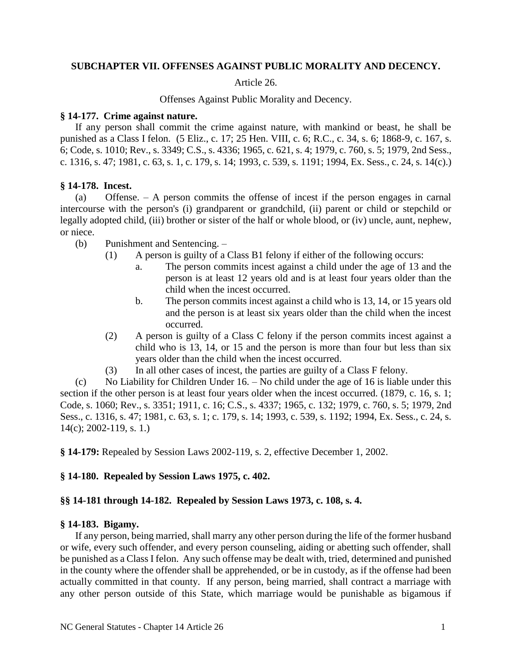### **SUBCHAPTER VII. OFFENSES AGAINST PUBLIC MORALITY AND DECENCY.**

#### Article 26.

#### Offenses Against Public Morality and Decency.

#### **§ 14-177. Crime against nature.**

If any person shall commit the crime against nature, with mankind or beast, he shall be punished as a Class I felon. (5 Eliz., c. 17; 25 Hen. VIII, c. 6; R.C., c. 34, s. 6; 1868-9, c. 167, s. 6; Code, s. 1010; Rev., s. 3349; C.S., s. 4336; 1965, c. 621, s. 4; 1979, c. 760, s. 5; 1979, 2nd Sess., c. 1316, s. 47; 1981, c. 63, s. 1, c. 179, s. 14; 1993, c. 539, s. 1191; 1994, Ex. Sess., c. 24, s. 14(c).)

### **§ 14-178. Incest.**

(a) Offense. – A person commits the offense of incest if the person engages in carnal intercourse with the person's (i) grandparent or grandchild, (ii) parent or child or stepchild or legally adopted child, (iii) brother or sister of the half or whole blood, or (iv) uncle, aunt, nephew, or niece.

(b) Punishment and Sentencing. –

- (1) A person is guilty of a Class B1 felony if either of the following occurs:
	- a. The person commits incest against a child under the age of 13 and the person is at least 12 years old and is at least four years older than the child when the incest occurred.
	- b. The person commits incest against a child who is 13, 14, or 15 years old and the person is at least six years older than the child when the incest occurred.
- (2) A person is guilty of a Class C felony if the person commits incest against a child who is 13, 14, or 15 and the person is more than four but less than six years older than the child when the incest occurred.
- (3) In all other cases of incest, the parties are guilty of a Class F felony.

(c) No Liability for Children Under 16. – No child under the age of 16 is liable under this section if the other person is at least four years older when the incest occurred. (1879, c. 16, s. 1; Code, s. 1060; Rev., s. 3351; 1911, c. 16; C.S., s. 4337; 1965, c. 132; 1979, c. 760, s. 5; 1979, 2nd Sess., c. 1316, s. 47; 1981, c. 63, s. 1; c. 179, s. 14; 1993, c. 539, s. 1192; 1994, Ex. Sess., c. 24, s. 14(c); 2002-119, s. 1.)

**§ 14-179:** Repealed by Session Laws 2002-119, s. 2, effective December 1, 2002.

#### **§ 14-180. Repealed by Session Laws 1975, c. 402.**

#### **§§ 14-181 through 14-182. Repealed by Session Laws 1973, c. 108, s. 4.**

#### **§ 14-183. Bigamy.**

If any person, being married, shall marry any other person during the life of the former husband or wife, every such offender, and every person counseling, aiding or abetting such offender, shall be punished as a Class I felon. Any such offense may be dealt with, tried, determined and punished in the county where the offender shall be apprehended, or be in custody, as if the offense had been actually committed in that county. If any person, being married, shall contract a marriage with any other person outside of this State, which marriage would be punishable as bigamous if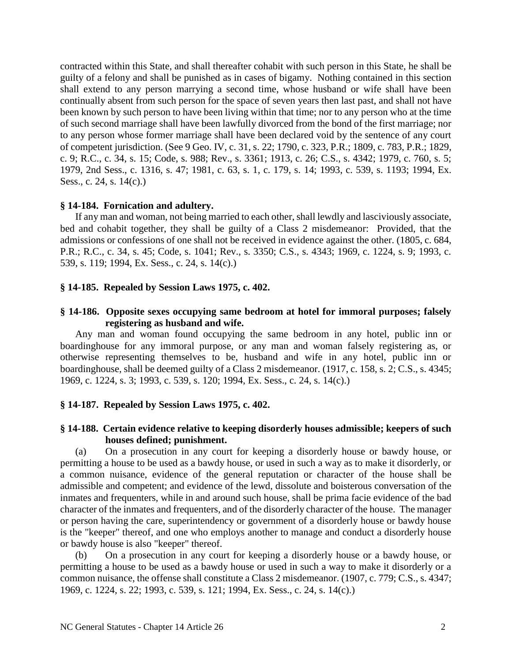contracted within this State, and shall thereafter cohabit with such person in this State, he shall be guilty of a felony and shall be punished as in cases of bigamy. Nothing contained in this section shall extend to any person marrying a second time, whose husband or wife shall have been continually absent from such person for the space of seven years then last past, and shall not have been known by such person to have been living within that time; nor to any person who at the time of such second marriage shall have been lawfully divorced from the bond of the first marriage; nor to any person whose former marriage shall have been declared void by the sentence of any court of competent jurisdiction. (See 9 Geo. IV, c. 31, s. 22; 1790, c. 323, P.R.; 1809, c. 783, P.R.; 1829, c. 9; R.C., c. 34, s. 15; Code, s. 988; Rev., s. 3361; 1913, c. 26; C.S., s. 4342; 1979, c. 760, s. 5; 1979, 2nd Sess., c. 1316, s. 47; 1981, c. 63, s. 1, c. 179, s. 14; 1993, c. 539, s. 1193; 1994, Ex. Sess., c. 24, s. 14(c).)

#### **§ 14-184. Fornication and adultery.**

If any man and woman, not being married to each other, shall lewdly and lasciviously associate, bed and cohabit together, they shall be guilty of a Class 2 misdemeanor: Provided, that the admissions or confessions of one shall not be received in evidence against the other. (1805, c. 684, P.R.; R.C., c. 34, s. 45; Code, s. 1041; Rev., s. 3350; C.S., s. 4343; 1969, c. 1224, s. 9; 1993, c. 539, s. 119; 1994, Ex. Sess., c. 24, s. 14(c).)

#### **§ 14-185. Repealed by Session Laws 1975, c. 402.**

#### **§ 14-186. Opposite sexes occupying same bedroom at hotel for immoral purposes; falsely registering as husband and wife.**

Any man and woman found occupying the same bedroom in any hotel, public inn or boardinghouse for any immoral purpose, or any man and woman falsely registering as, or otherwise representing themselves to be, husband and wife in any hotel, public inn or boardinghouse, shall be deemed guilty of a Class 2 misdemeanor. (1917, c. 158, s. 2; C.S., s. 4345; 1969, c. 1224, s. 3; 1993, c. 539, s. 120; 1994, Ex. Sess., c. 24, s. 14(c).)

#### **§ 14-187. Repealed by Session Laws 1975, c. 402.**

#### **§ 14-188. Certain evidence relative to keeping disorderly houses admissible; keepers of such houses defined; punishment.**

(a) On a prosecution in any court for keeping a disorderly house or bawdy house, or permitting a house to be used as a bawdy house, or used in such a way as to make it disorderly, or a common nuisance, evidence of the general reputation or character of the house shall be admissible and competent; and evidence of the lewd, dissolute and boisterous conversation of the inmates and frequenters, while in and around such house, shall be prima facie evidence of the bad character of the inmates and frequenters, and of the disorderly character of the house. The manager or person having the care, superintendency or government of a disorderly house or bawdy house is the "keeper" thereof, and one who employs another to manage and conduct a disorderly house or bawdy house is also "keeper" thereof.

(b) On a prosecution in any court for keeping a disorderly house or a bawdy house, or permitting a house to be used as a bawdy house or used in such a way to make it disorderly or a common nuisance, the offense shall constitute a Class 2 misdemeanor. (1907, c. 779; C.S., s. 4347; 1969, c. 1224, s. 22; 1993, c. 539, s. 121; 1994, Ex. Sess., c. 24, s. 14(c).)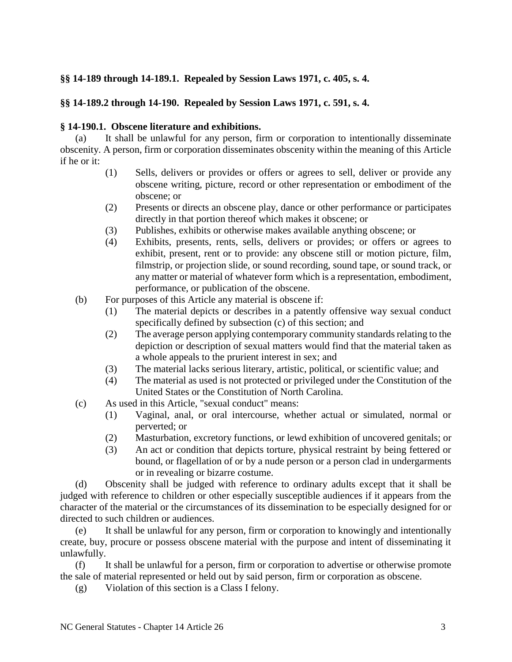## **§§ 14-189 through 14-189.1. Repealed by Session Laws 1971, c. 405, s. 4.**

## **§§ 14-189.2 through 14-190. Repealed by Session Laws 1971, c. 591, s. 4.**

#### **§ 14-190.1. Obscene literature and exhibitions.**

(a) It shall be unlawful for any person, firm or corporation to intentionally disseminate obscenity. A person, firm or corporation disseminates obscenity within the meaning of this Article if he or it:

- (1) Sells, delivers or provides or offers or agrees to sell, deliver or provide any obscene writing, picture, record or other representation or embodiment of the obscene; or
- (2) Presents or directs an obscene play, dance or other performance or participates directly in that portion thereof which makes it obscene; or
- (3) Publishes, exhibits or otherwise makes available anything obscene; or
- (4) Exhibits, presents, rents, sells, delivers or provides; or offers or agrees to exhibit, present, rent or to provide: any obscene still or motion picture, film, filmstrip, or projection slide, or sound recording, sound tape, or sound track, or any matter or material of whatever form which is a representation, embodiment, performance, or publication of the obscene.
- (b) For purposes of this Article any material is obscene if:
	- (1) The material depicts or describes in a patently offensive way sexual conduct specifically defined by subsection (c) of this section; and
	- (2) The average person applying contemporary community standards relating to the depiction or description of sexual matters would find that the material taken as a whole appeals to the prurient interest in sex; and
	- (3) The material lacks serious literary, artistic, political, or scientific value; and
	- (4) The material as used is not protected or privileged under the Constitution of the United States or the Constitution of North Carolina.
- (c) As used in this Article, "sexual conduct" means:
	- (1) Vaginal, anal, or oral intercourse, whether actual or simulated, normal or perverted; or
	- (2) Masturbation, excretory functions, or lewd exhibition of uncovered genitals; or
	- (3) An act or condition that depicts torture, physical restraint by being fettered or bound, or flagellation of or by a nude person or a person clad in undergarments or in revealing or bizarre costume.

(d) Obscenity shall be judged with reference to ordinary adults except that it shall be judged with reference to children or other especially susceptible audiences if it appears from the character of the material or the circumstances of its dissemination to be especially designed for or directed to such children or audiences.

(e) It shall be unlawful for any person, firm or corporation to knowingly and intentionally create, buy, procure or possess obscene material with the purpose and intent of disseminating it unlawfully.

(f) It shall be unlawful for a person, firm or corporation to advertise or otherwise promote the sale of material represented or held out by said person, firm or corporation as obscene.

(g) Violation of this section is a Class I felony.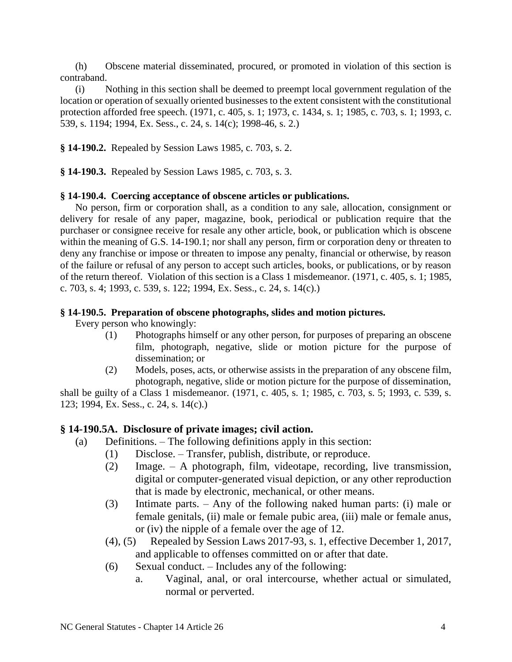(h) Obscene material disseminated, procured, or promoted in violation of this section is contraband.

(i) Nothing in this section shall be deemed to preempt local government regulation of the location or operation of sexually oriented businesses to the extent consistent with the constitutional protection afforded free speech. (1971, c. 405, s. 1; 1973, c. 1434, s. 1; 1985, c. 703, s. 1; 1993, c. 539, s. 1194; 1994, Ex. Sess., c. 24, s. 14(c); 1998-46, s. 2.)

**§ 14-190.2.** Repealed by Session Laws 1985, c. 703, s. 2.

**§ 14-190.3.** Repealed by Session Laws 1985, c. 703, s. 3.

## **§ 14-190.4. Coercing acceptance of obscene articles or publications.**

No person, firm or corporation shall, as a condition to any sale, allocation, consignment or delivery for resale of any paper, magazine, book, periodical or publication require that the purchaser or consignee receive for resale any other article, book, or publication which is obscene within the meaning of G.S. 14-190.1; nor shall any person, firm or corporation deny or threaten to deny any franchise or impose or threaten to impose any penalty, financial or otherwise, by reason of the failure or refusal of any person to accept such articles, books, or publications, or by reason of the return thereof. Violation of this section is a Class 1 misdemeanor. (1971, c. 405, s. 1; 1985, c. 703, s. 4; 1993, c. 539, s. 122; 1994, Ex. Sess., c. 24, s. 14(c).)

## **§ 14-190.5. Preparation of obscene photographs, slides and motion pictures.**

Every person who knowingly:

- (1) Photographs himself or any other person, for purposes of preparing an obscene film, photograph, negative, slide or motion picture for the purpose of dissemination; or
- (2) Models, poses, acts, or otherwise assists in the preparation of any obscene film, photograph, negative, slide or motion picture for the purpose of dissemination,

shall be guilty of a Class 1 misdemeanor. (1971, c. 405, s. 1; 1985, c. 703, s. 5; 1993, c. 539, s. 123; 1994, Ex. Sess., c. 24, s. 14(c).)

## **§ 14-190.5A. Disclosure of private images; civil action.**

- (a) Definitions. The following definitions apply in this section:
	- (1) Disclose. Transfer, publish, distribute, or reproduce.
	- (2) Image. A photograph, film, videotape, recording, live transmission, digital or computer-generated visual depiction, or any other reproduction that is made by electronic, mechanical, or other means.
	- (3) Intimate parts. Any of the following naked human parts: (i) male or female genitals, (ii) male or female pubic area, (iii) male or female anus, or (iv) the nipple of a female over the age of 12.
	- (4), (5) Repealed by Session Laws 2017-93, s. 1, effective December 1, 2017, and applicable to offenses committed on or after that date.
	- (6) Sexual conduct. Includes any of the following:
		- a. Vaginal, anal, or oral intercourse, whether actual or simulated, normal or perverted.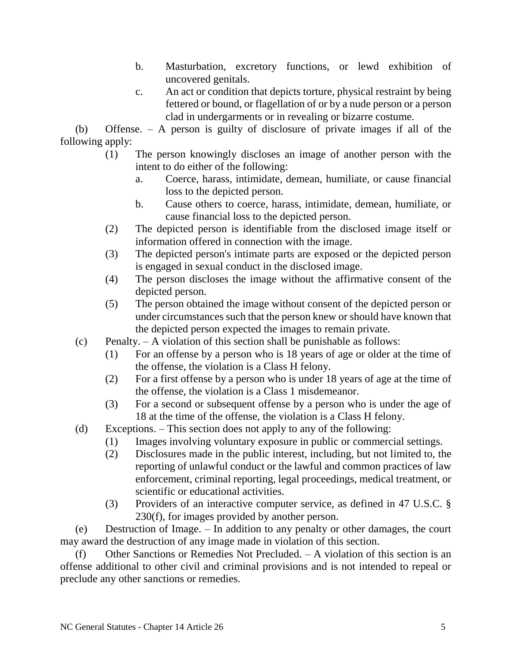- b. Masturbation, excretory functions, or lewd exhibition of uncovered genitals.
- c. An act or condition that depicts torture, physical restraint by being fettered or bound, or flagellation of or by a nude person or a person clad in undergarments or in revealing or bizarre costume.

(b) Offense. – A person is guilty of disclosure of private images if all of the following apply:

- (1) The person knowingly discloses an image of another person with the intent to do either of the following:
	- a. Coerce, harass, intimidate, demean, humiliate, or cause financial loss to the depicted person.
	- b. Cause others to coerce, harass, intimidate, demean, humiliate, or cause financial loss to the depicted person.
- (2) The depicted person is identifiable from the disclosed image itself or information offered in connection with the image.
- (3) The depicted person's intimate parts are exposed or the depicted person is engaged in sexual conduct in the disclosed image.
- (4) The person discloses the image without the affirmative consent of the depicted person.
- (5) The person obtained the image without consent of the depicted person or under circumstances such that the person knew or should have known that the depicted person expected the images to remain private.
- (c) Penalty.  $A$  violation of this section shall be punishable as follows:
	- (1) For an offense by a person who is 18 years of age or older at the time of the offense, the violation is a Class H felony.
	- (2) For a first offense by a person who is under 18 years of age at the time of the offense, the violation is a Class 1 misdemeanor.
	- (3) For a second or subsequent offense by a person who is under the age of 18 at the time of the offense, the violation is a Class H felony.
- (d) Exceptions. This section does not apply to any of the following:
	- (1) Images involving voluntary exposure in public or commercial settings.
	- (2) Disclosures made in the public interest, including, but not limited to, the reporting of unlawful conduct or the lawful and common practices of law enforcement, criminal reporting, legal proceedings, medical treatment, or scientific or educational activities.
	- (3) Providers of an interactive computer service, as defined in 47 U.S.C. § 230(f), for images provided by another person.

(e) Destruction of Image. – In addition to any penalty or other damages, the court may award the destruction of any image made in violation of this section.

(f) Other Sanctions or Remedies Not Precluded. – A violation of this section is an offense additional to other civil and criminal provisions and is not intended to repeal or preclude any other sanctions or remedies.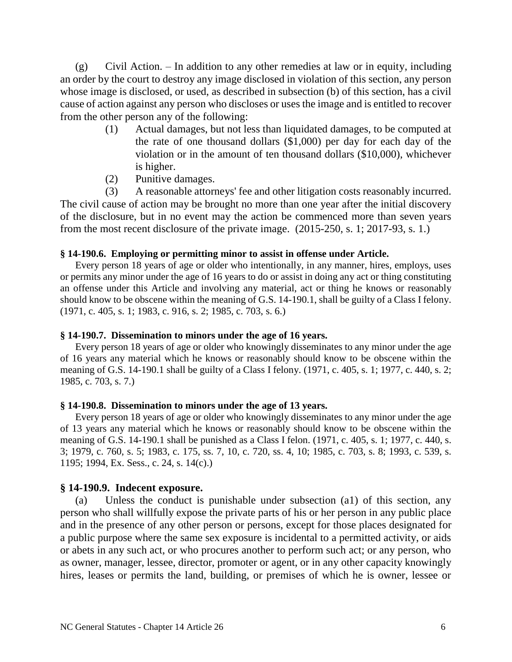(g) Civil Action. – In addition to any other remedies at law or in equity, including an order by the court to destroy any image disclosed in violation of this section, any person whose image is disclosed, or used, as described in subsection (b) of this section, has a civil cause of action against any person who discloses or uses the image and is entitled to recover from the other person any of the following:

- (1) Actual damages, but not less than liquidated damages, to be computed at the rate of one thousand dollars  $(\overline{$}1,000)$  per day for each day of the violation or in the amount of ten thousand dollars (\$10,000), whichever is higher.
- (2) Punitive damages.

(3) A reasonable attorneys' fee and other litigation costs reasonably incurred. The civil cause of action may be brought no more than one year after the initial discovery of the disclosure, but in no event may the action be commenced more than seven years from the most recent disclosure of the private image. (2015-250, s. 1; 2017-93, s. 1.)

#### **§ 14-190.6. Employing or permitting minor to assist in offense under Article.**

Every person 18 years of age or older who intentionally, in any manner, hires, employs, uses or permits any minor under the age of 16 years to do or assist in doing any act or thing constituting an offense under this Article and involving any material, act or thing he knows or reasonably should know to be obscene within the meaning of G.S. 14-190.1, shall be guilty of a Class I felony. (1971, c. 405, s. 1; 1983, c. 916, s. 2; 1985, c. 703, s. 6.)

#### **§ 14-190.7. Dissemination to minors under the age of 16 years.**

Every person 18 years of age or older who knowingly disseminates to any minor under the age of 16 years any material which he knows or reasonably should know to be obscene within the meaning of G.S. 14-190.1 shall be guilty of a Class I felony. (1971, c. 405, s. 1; 1977, c. 440, s. 2; 1985, c. 703, s. 7.)

#### **§ 14-190.8. Dissemination to minors under the age of 13 years.**

Every person 18 years of age or older who knowingly disseminates to any minor under the age of 13 years any material which he knows or reasonably should know to be obscene within the meaning of G.S. 14-190.1 shall be punished as a Class I felon. (1971, c. 405, s. 1; 1977, c. 440, s. 3; 1979, c. 760, s. 5; 1983, c. 175, ss. 7, 10, c. 720, ss. 4, 10; 1985, c. 703, s. 8; 1993, c. 539, s. 1195; 1994, Ex. Sess., c. 24, s. 14(c).)

#### **§ 14-190.9. Indecent exposure.**

(a) Unless the conduct is punishable under subsection (a1) of this section, any person who shall willfully expose the private parts of his or her person in any public place and in the presence of any other person or persons, except for those places designated for a public purpose where the same sex exposure is incidental to a permitted activity, or aids or abets in any such act, or who procures another to perform such act; or any person, who as owner, manager, lessee, director, promoter or agent, or in any other capacity knowingly hires, leases or permits the land, building, or premises of which he is owner, lessee or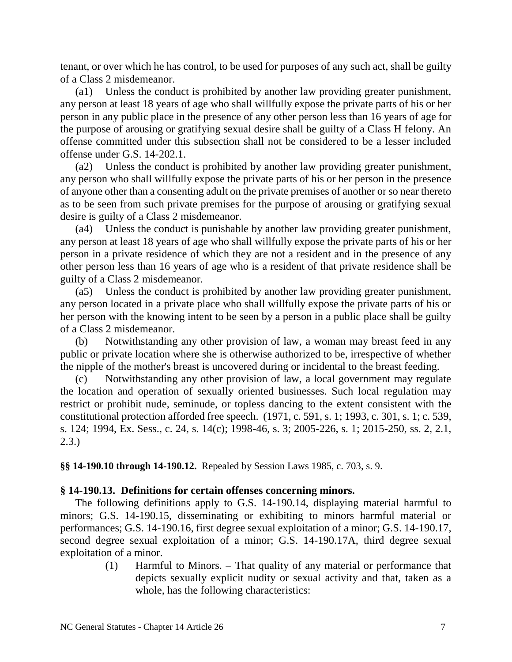tenant, or over which he has control, to be used for purposes of any such act, shall be guilty of a Class 2 misdemeanor.

(a1) Unless the conduct is prohibited by another law providing greater punishment, any person at least 18 years of age who shall willfully expose the private parts of his or her person in any public place in the presence of any other person less than 16 years of age for the purpose of arousing or gratifying sexual desire shall be guilty of a Class H felony. An offense committed under this subsection shall not be considered to be a lesser included offense under G.S. 14-202.1.

(a2) Unless the conduct is prohibited by another law providing greater punishment, any person who shall willfully expose the private parts of his or her person in the presence of anyone other than a consenting adult on the private premises of another or so near thereto as to be seen from such private premises for the purpose of arousing or gratifying sexual desire is guilty of a Class 2 misdemeanor.

(a4) Unless the conduct is punishable by another law providing greater punishment, any person at least 18 years of age who shall willfully expose the private parts of his or her person in a private residence of which they are not a resident and in the presence of any other person less than 16 years of age who is a resident of that private residence shall be guilty of a Class 2 misdemeanor.

(a5) Unless the conduct is prohibited by another law providing greater punishment, any person located in a private place who shall willfully expose the private parts of his or her person with the knowing intent to be seen by a person in a public place shall be guilty of a Class 2 misdemeanor.

(b) Notwithstanding any other provision of law, a woman may breast feed in any public or private location where she is otherwise authorized to be, irrespective of whether the nipple of the mother's breast is uncovered during or incidental to the breast feeding.

(c) Notwithstanding any other provision of law, a local government may regulate the location and operation of sexually oriented businesses. Such local regulation may restrict or prohibit nude, seminude, or topless dancing to the extent consistent with the constitutional protection afforded free speech. (1971, c. 591, s. 1; 1993, c. 301, s. 1; c. 539, s. 124; 1994, Ex. Sess., c. 24, s. 14(c); 1998-46, s. 3; 2005-226, s. 1; 2015-250, ss. 2, 2.1, 2.3.)

**§§ 14-190.10 through 14-190.12.** Repealed by Session Laws 1985, c. 703, s. 9.

# **§ 14-190.13. Definitions for certain offenses concerning minors.**

The following definitions apply to G.S. 14-190.14, displaying material harmful to minors; G.S. 14-190.15, disseminating or exhibiting to minors harmful material or performances; G.S. 14-190.16, first degree sexual exploitation of a minor; G.S. 14-190.17, second degree sexual exploitation of a minor; G.S. 14-190.17A, third degree sexual exploitation of a minor.

> (1) Harmful to Minors. – That quality of any material or performance that depicts sexually explicit nudity or sexual activity and that, taken as a whole, has the following characteristics: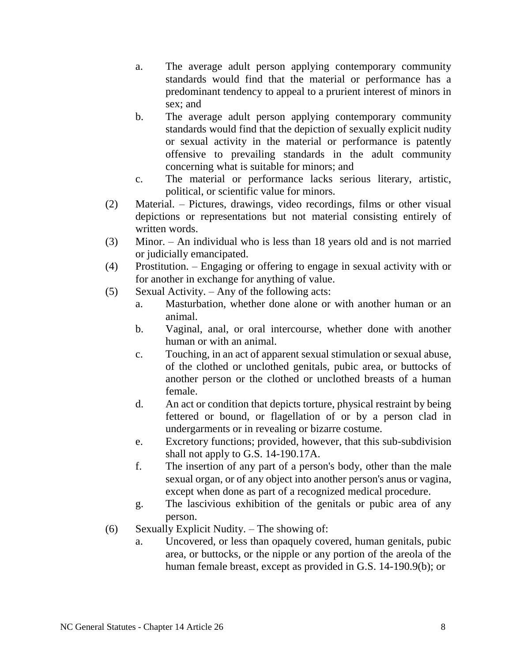- a. The average adult person applying contemporary community standards would find that the material or performance has a predominant tendency to appeal to a prurient interest of minors in sex; and
- b. The average adult person applying contemporary community standards would find that the depiction of sexually explicit nudity or sexual activity in the material or performance is patently offensive to prevailing standards in the adult community concerning what is suitable for minors; and
- c. The material or performance lacks serious literary, artistic, political, or scientific value for minors.
- (2) Material. Pictures, drawings, video recordings, films or other visual depictions or representations but not material consisting entirely of written words.
- (3) Minor. An individual who is less than 18 years old and is not married or judicially emancipated.
- (4) Prostitution. Engaging or offering to engage in sexual activity with or for another in exchange for anything of value.
- (5) Sexual Activity. Any of the following acts:
	- a. Masturbation, whether done alone or with another human or an animal.
	- b. Vaginal, anal, or oral intercourse, whether done with another human or with an animal.
	- c. Touching, in an act of apparent sexual stimulation or sexual abuse, of the clothed or unclothed genitals, pubic area, or buttocks of another person or the clothed or unclothed breasts of a human female.
	- d. An act or condition that depicts torture, physical restraint by being fettered or bound, or flagellation of or by a person clad in undergarments or in revealing or bizarre costume.
	- e. Excretory functions; provided, however, that this sub-subdivision shall not apply to G.S. 14-190.17A.
	- f. The insertion of any part of a person's body, other than the male sexual organ, or of any object into another person's anus or vagina, except when done as part of a recognized medical procedure.
	- g. The lascivious exhibition of the genitals or pubic area of any person.
- (6) Sexually Explicit Nudity. The showing of:
	- a. Uncovered, or less than opaquely covered, human genitals, pubic area, or buttocks, or the nipple or any portion of the areola of the human female breast, except as provided in G.S. 14-190.9(b); or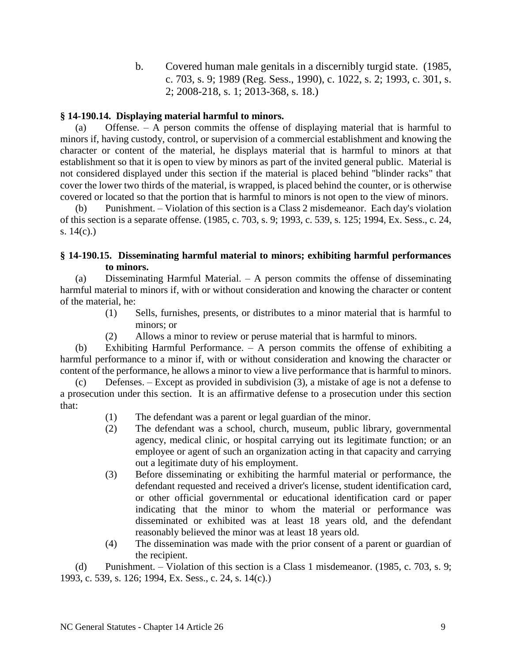b. Covered human male genitals in a discernibly turgid state. (1985, c. 703, s. 9; 1989 (Reg. Sess., 1990), c. 1022, s. 2; 1993, c. 301, s. 2; 2008-218, s. 1; 2013-368, s. 18.)

### **§ 14-190.14. Displaying material harmful to minors.**

(a) Offense. – A person commits the offense of displaying material that is harmful to minors if, having custody, control, or supervision of a commercial establishment and knowing the character or content of the material, he displays material that is harmful to minors at that establishment so that it is open to view by minors as part of the invited general public. Material is not considered displayed under this section if the material is placed behind "blinder racks" that cover the lower two thirds of the material, is wrapped, is placed behind the counter, or is otherwise covered or located so that the portion that is harmful to minors is not open to the view of minors.

(b) Punishment. – Violation of this section is a Class 2 misdemeanor. Each day's violation of this section is a separate offense. (1985, c. 703, s. 9; 1993, c. 539, s. 125; 1994, Ex. Sess., c. 24, s.  $14(c)$ .)

## **§ 14-190.15. Disseminating harmful material to minors; exhibiting harmful performances to minors.**

(a) Disseminating Harmful Material. – A person commits the offense of disseminating harmful material to minors if, with or without consideration and knowing the character or content of the material, he:

- (1) Sells, furnishes, presents, or distributes to a minor material that is harmful to minors; or
- (2) Allows a minor to review or peruse material that is harmful to minors.

(b) Exhibiting Harmful Performance. – A person commits the offense of exhibiting a harmful performance to a minor if, with or without consideration and knowing the character or content of the performance, he allows a minor to view a live performance that is harmful to minors.

(c) Defenses. – Except as provided in subdivision (3), a mistake of age is not a defense to a prosecution under this section. It is an affirmative defense to a prosecution under this section that:

- (1) The defendant was a parent or legal guardian of the minor.
- (2) The defendant was a school, church, museum, public library, governmental agency, medical clinic, or hospital carrying out its legitimate function; or an employee or agent of such an organization acting in that capacity and carrying out a legitimate duty of his employment.
- (3) Before disseminating or exhibiting the harmful material or performance, the defendant requested and received a driver's license, student identification card, or other official governmental or educational identification card or paper indicating that the minor to whom the material or performance was disseminated or exhibited was at least 18 years old, and the defendant reasonably believed the minor was at least 18 years old.
- (4) The dissemination was made with the prior consent of a parent or guardian of the recipient.

(d) Punishment. – Violation of this section is a Class 1 misdemeanor. (1985, c. 703, s. 9; 1993, c. 539, s. 126; 1994, Ex. Sess., c. 24, s. 14(c).)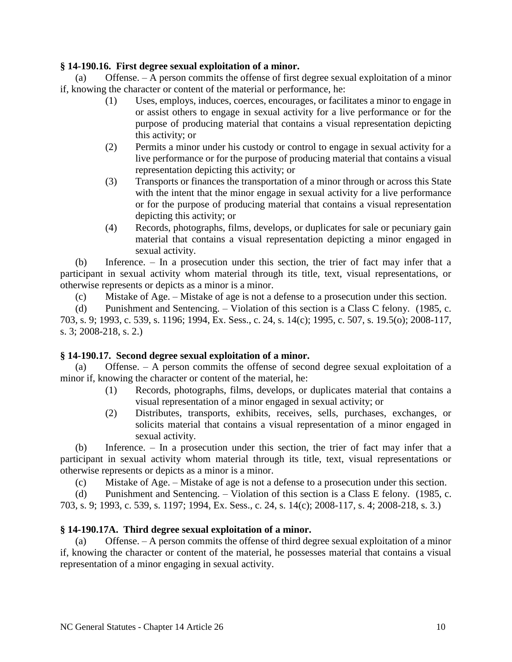## **§ 14-190.16. First degree sexual exploitation of a minor.**

(a) Offense. – A person commits the offense of first degree sexual exploitation of a minor if, knowing the character or content of the material or performance, he:

- (1) Uses, employs, induces, coerces, encourages, or facilitates a minor to engage in or assist others to engage in sexual activity for a live performance or for the purpose of producing material that contains a visual representation depicting this activity; or
- (2) Permits a minor under his custody or control to engage in sexual activity for a live performance or for the purpose of producing material that contains a visual representation depicting this activity; or
- (3) Transports or finances the transportation of a minor through or across this State with the intent that the minor engage in sexual activity for a live performance or for the purpose of producing material that contains a visual representation depicting this activity; or
- (4) Records, photographs, films, develops, or duplicates for sale or pecuniary gain material that contains a visual representation depicting a minor engaged in sexual activity.

(b) Inference. – In a prosecution under this section, the trier of fact may infer that a participant in sexual activity whom material through its title, text, visual representations, or otherwise represents or depicts as a minor is a minor.

(c) Mistake of Age. – Mistake of age is not a defense to a prosecution under this section.

(d) Punishment and Sentencing. – Violation of this section is a Class C felony. (1985, c. 703, s. 9; 1993, c. 539, s. 1196; 1994, Ex. Sess., c. 24, s. 14(c); 1995, c. 507, s. 19.5(o); 2008-117, s. 3; 2008-218, s. 2.)

## **§ 14-190.17. Second degree sexual exploitation of a minor.**

(a) Offense. – A person commits the offense of second degree sexual exploitation of a minor if, knowing the character or content of the material, he:

- (1) Records, photographs, films, develops, or duplicates material that contains a visual representation of a minor engaged in sexual activity; or
- (2) Distributes, transports, exhibits, receives, sells, purchases, exchanges, or solicits material that contains a visual representation of a minor engaged in sexual activity.

(b) Inference. – In a prosecution under this section, the trier of fact may infer that a participant in sexual activity whom material through its title, text, visual representations or otherwise represents or depicts as a minor is a minor.

(c) Mistake of Age. – Mistake of age is not a defense to a prosecution under this section.

(d) Punishment and Sentencing. – Violation of this section is a Class E felony. (1985, c. 703, s. 9; 1993, c. 539, s. 1197; 1994, Ex. Sess., c. 24, s. 14(c); 2008-117, s. 4; 2008-218, s. 3.)

## **§ 14-190.17A. Third degree sexual exploitation of a minor.**

(a) Offense. – A person commits the offense of third degree sexual exploitation of a minor if, knowing the character or content of the material, he possesses material that contains a visual representation of a minor engaging in sexual activity.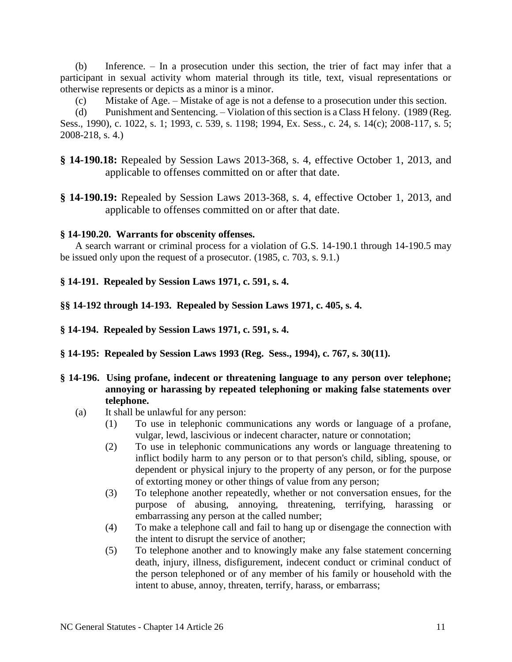(b) Inference. – In a prosecution under this section, the trier of fact may infer that a participant in sexual activity whom material through its title, text, visual representations or otherwise represents or depicts as a minor is a minor.

(c) Mistake of Age. – Mistake of age is not a defense to a prosecution under this section.

(d) Punishment and Sentencing. – Violation of this section is a Class H felony. (1989 (Reg. Sess., 1990), c. 1022, s. 1; 1993, c. 539, s. 1198; 1994, Ex. Sess., c. 24, s. 14(c); 2008-117, s. 5; 2008-218, s. 4.)

- **§ 14-190.18:** Repealed by Session Laws 2013-368, s. 4, effective October 1, 2013, and applicable to offenses committed on or after that date.
- **§ 14-190.19:** Repealed by Session Laws 2013-368, s. 4, effective October 1, 2013, and applicable to offenses committed on or after that date.

## **§ 14-190.20. Warrants for obscenity offenses.**

A search warrant or criminal process for a violation of G.S. 14-190.1 through 14-190.5 may be issued only upon the request of a prosecutor. (1985, c. 703, s. 9.1.)

**§ 14-191. Repealed by Session Laws 1971, c. 591, s. 4.**

**§§ 14-192 through 14-193. Repealed by Session Laws 1971, c. 405, s. 4.**

- **§ 14-194. Repealed by Session Laws 1971, c. 591, s. 4.**
- **§ 14-195: Repealed by Session Laws 1993 (Reg. Sess., 1994), c. 767, s. 30(11).**
- **§ 14-196. Using profane, indecent or threatening language to any person over telephone; annoying or harassing by repeated telephoning or making false statements over telephone.**
	- (a) It shall be unlawful for any person:
		- (1) To use in telephonic communications any words or language of a profane, vulgar, lewd, lascivious or indecent character, nature or connotation;
		- (2) To use in telephonic communications any words or language threatening to inflict bodily harm to any person or to that person's child, sibling, spouse, or dependent or physical injury to the property of any person, or for the purpose of extorting money or other things of value from any person;
		- (3) To telephone another repeatedly, whether or not conversation ensues, for the purpose of abusing, annoying, threatening, terrifying, harassing or embarrassing any person at the called number;
		- (4) To make a telephone call and fail to hang up or disengage the connection with the intent to disrupt the service of another;
		- (5) To telephone another and to knowingly make any false statement concerning death, injury, illness, disfigurement, indecent conduct or criminal conduct of the person telephoned or of any member of his family or household with the intent to abuse, annoy, threaten, terrify, harass, or embarrass;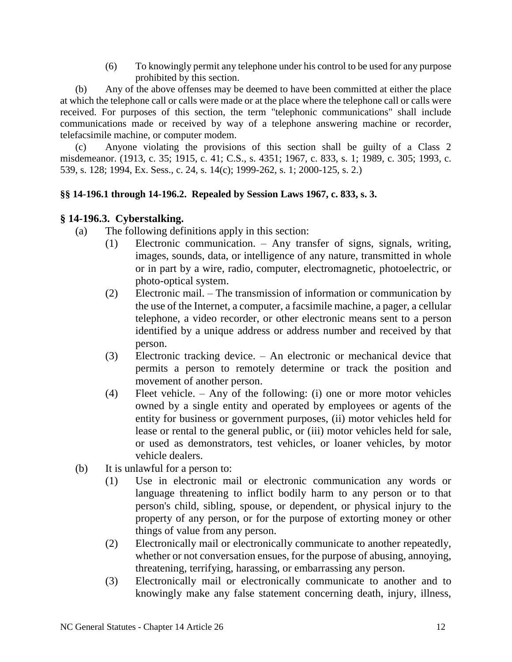(6) To knowingly permit any telephone under his control to be used for any purpose prohibited by this section.

(b) Any of the above offenses may be deemed to have been committed at either the place at which the telephone call or calls were made or at the place where the telephone call or calls were received. For purposes of this section, the term "telephonic communications" shall include communications made or received by way of a telephone answering machine or recorder, telefacsimile machine, or computer modem.

(c) Anyone violating the provisions of this section shall be guilty of a Class 2 misdemeanor. (1913, c. 35; 1915, c. 41; C.S., s. 4351; 1967, c. 833, s. 1; 1989, c. 305; 1993, c. 539, s. 128; 1994, Ex. Sess., c. 24, s. 14(c); 1999-262, s. 1; 2000-125, s. 2.)

# **§§ 14-196.1 through 14-196.2. Repealed by Session Laws 1967, c. 833, s. 3.**

# **§ 14-196.3. Cyberstalking.**

- (a) The following definitions apply in this section:
	- (1) Electronic communication. Any transfer of signs, signals, writing, images, sounds, data, or intelligence of any nature, transmitted in whole or in part by a wire, radio, computer, electromagnetic, photoelectric, or photo-optical system.
	- (2) Electronic mail. The transmission of information or communication by the use of the Internet, a computer, a facsimile machine, a pager, a cellular telephone, a video recorder, or other electronic means sent to a person identified by a unique address or address number and received by that person.
	- (3) Electronic tracking device. An electronic or mechanical device that permits a person to remotely determine or track the position and movement of another person.
	- (4) Fleet vehicle. Any of the following: (i) one or more motor vehicles owned by a single entity and operated by employees or agents of the entity for business or government purposes, (ii) motor vehicles held for lease or rental to the general public, or (iii) motor vehicles held for sale, or used as demonstrators, test vehicles, or loaner vehicles, by motor vehicle dealers.
- (b) It is unlawful for a person to:
	- (1) Use in electronic mail or electronic communication any words or language threatening to inflict bodily harm to any person or to that person's child, sibling, spouse, or dependent, or physical injury to the property of any person, or for the purpose of extorting money or other things of value from any person.
	- (2) Electronically mail or electronically communicate to another repeatedly, whether or not conversation ensues, for the purpose of abusing, annoying, threatening, terrifying, harassing, or embarrassing any person.
	- (3) Electronically mail or electronically communicate to another and to knowingly make any false statement concerning death, injury, illness,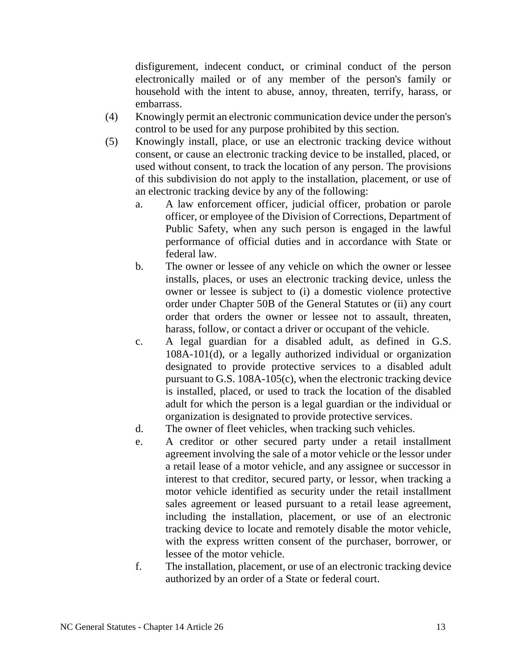disfigurement, indecent conduct, or criminal conduct of the person electronically mailed or of any member of the person's family or household with the intent to abuse, annoy, threaten, terrify, harass, or embarrass.

- (4) Knowingly permit an electronic communication device under the person's control to be used for any purpose prohibited by this section.
- (5) Knowingly install, place, or use an electronic tracking device without consent, or cause an electronic tracking device to be installed, placed, or used without consent, to track the location of any person. The provisions of this subdivision do not apply to the installation, placement, or use of an electronic tracking device by any of the following:
	- a. A law enforcement officer, judicial officer, probation or parole officer, or employee of the Division of Corrections, Department of Public Safety, when any such person is engaged in the lawful performance of official duties and in accordance with State or federal law.
	- b. The owner or lessee of any vehicle on which the owner or lessee installs, places, or uses an electronic tracking device, unless the owner or lessee is subject to (i) a domestic violence protective order under Chapter 50B of the General Statutes or (ii) any court order that orders the owner or lessee not to assault, threaten, harass, follow, or contact a driver or occupant of the vehicle.
	- c. A legal guardian for a disabled adult, as defined in G.S. 108A-101(d), or a legally authorized individual or organization designated to provide protective services to a disabled adult pursuant to G.S. 108A-105(c), when the electronic tracking device is installed, placed, or used to track the location of the disabled adult for which the person is a legal guardian or the individual or organization is designated to provide protective services.
	- d. The owner of fleet vehicles, when tracking such vehicles.
	- e. A creditor or other secured party under a retail installment agreement involving the sale of a motor vehicle or the lessor under a retail lease of a motor vehicle, and any assignee or successor in interest to that creditor, secured party, or lessor, when tracking a motor vehicle identified as security under the retail installment sales agreement or leased pursuant to a retail lease agreement, including the installation, placement, or use of an electronic tracking device to locate and remotely disable the motor vehicle, with the express written consent of the purchaser, borrower, or lessee of the motor vehicle.
	- f. The installation, placement, or use of an electronic tracking device authorized by an order of a State or federal court.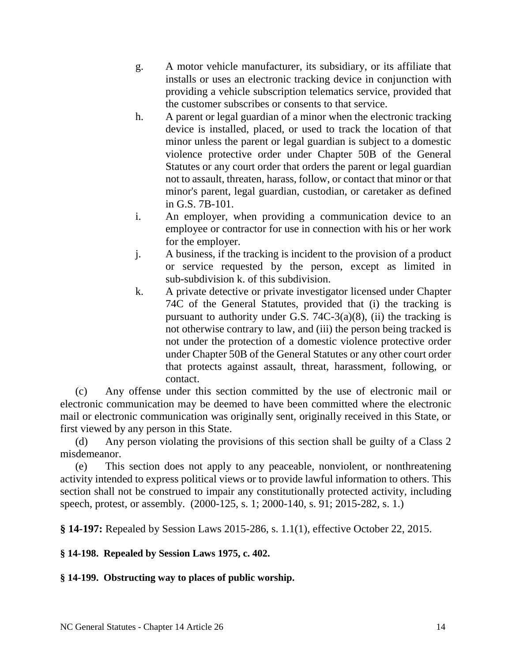- g. A motor vehicle manufacturer, its subsidiary, or its affiliate that installs or uses an electronic tracking device in conjunction with providing a vehicle subscription telematics service, provided that the customer subscribes or consents to that service.
- h. A parent or legal guardian of a minor when the electronic tracking device is installed, placed, or used to track the location of that minor unless the parent or legal guardian is subject to a domestic violence protective order under Chapter 50B of the General Statutes or any court order that orders the parent or legal guardian not to assault, threaten, harass, follow, or contact that minor or that minor's parent, legal guardian, custodian, or caretaker as defined in G.S. 7B-101.
- i. An employer, when providing a communication device to an employee or contractor for use in connection with his or her work for the employer.
- j. A business, if the tracking is incident to the provision of a product or service requested by the person, except as limited in sub-subdivision k. of this subdivision.
- k. A private detective or private investigator licensed under Chapter 74C of the General Statutes, provided that (i) the tracking is pursuant to authority under G.S. 74C-3(a)(8), (ii) the tracking is not otherwise contrary to law, and (iii) the person being tracked is not under the protection of a domestic violence protective order under Chapter 50B of the General Statutes or any other court order that protects against assault, threat, harassment, following, or contact.

(c) Any offense under this section committed by the use of electronic mail or electronic communication may be deemed to have been committed where the electronic mail or electronic communication was originally sent, originally received in this State, or first viewed by any person in this State.

(d) Any person violating the provisions of this section shall be guilty of a Class 2 misdemeanor.

(e) This section does not apply to any peaceable, nonviolent, or nonthreatening activity intended to express political views or to provide lawful information to others. This section shall not be construed to impair any constitutionally protected activity, including speech, protest, or assembly. (2000-125, s. 1; 2000-140, s. 91; 2015-282, s. 1.)

**§ 14-197:** Repealed by Session Laws 2015-286, s. 1.1(1), effective October 22, 2015.

# **§ 14-198. Repealed by Session Laws 1975, c. 402.**

# **§ 14-199. Obstructing way to places of public worship.**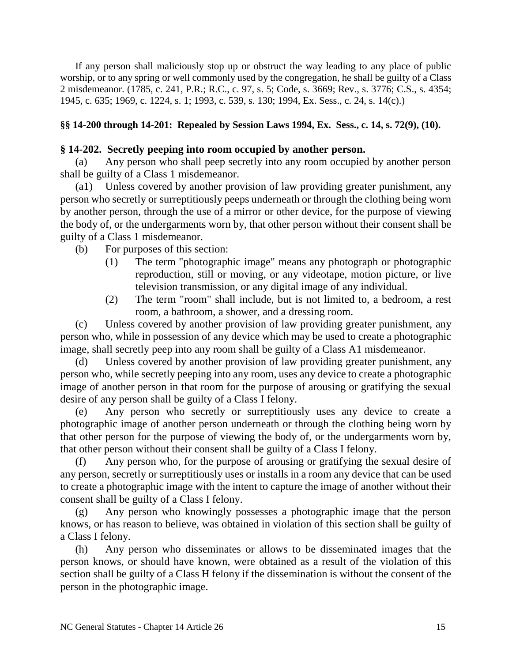If any person shall maliciously stop up or obstruct the way leading to any place of public worship, or to any spring or well commonly used by the congregation, he shall be guilty of a Class 2 misdemeanor. (1785, c. 241, P.R.; R.C., c. 97, s. 5; Code, s. 3669; Rev., s. 3776; C.S., s. 4354; 1945, c. 635; 1969, c. 1224, s. 1; 1993, c. 539, s. 130; 1994, Ex. Sess., c. 24, s. 14(c).)

# **§§ 14-200 through 14-201: Repealed by Session Laws 1994, Ex. Sess., c. 14, s. 72(9), (10).**

# **§ 14-202. Secretly peeping into room occupied by another person.**

(a) Any person who shall peep secretly into any room occupied by another person shall be guilty of a Class 1 misdemeanor.

(a1) Unless covered by another provision of law providing greater punishment, any person who secretly or surreptitiously peeps underneath or through the clothing being worn by another person, through the use of a mirror or other device, for the purpose of viewing the body of, or the undergarments worn by, that other person without their consent shall be guilty of a Class 1 misdemeanor.

(b) For purposes of this section:

- (1) The term "photographic image" means any photograph or photographic reproduction, still or moving, or any videotape, motion picture, or live television transmission, or any digital image of any individual.
- (2) The term "room" shall include, but is not limited to, a bedroom, a rest room, a bathroom, a shower, and a dressing room.

(c) Unless covered by another provision of law providing greater punishment, any person who, while in possession of any device which may be used to create a photographic image, shall secretly peep into any room shall be guilty of a Class A1 misdemeanor.

(d) Unless covered by another provision of law providing greater punishment, any person who, while secretly peeping into any room, uses any device to create a photographic image of another person in that room for the purpose of arousing or gratifying the sexual desire of any person shall be guilty of a Class I felony.

(e) Any person who secretly or surreptitiously uses any device to create a photographic image of another person underneath or through the clothing being worn by that other person for the purpose of viewing the body of, or the undergarments worn by, that other person without their consent shall be guilty of a Class I felony.

(f) Any person who, for the purpose of arousing or gratifying the sexual desire of any person, secretly or surreptitiously uses or installs in a room any device that can be used to create a photographic image with the intent to capture the image of another without their consent shall be guilty of a Class I felony.

(g) Any person who knowingly possesses a photographic image that the person knows, or has reason to believe, was obtained in violation of this section shall be guilty of a Class I felony.

(h) Any person who disseminates or allows to be disseminated images that the person knows, or should have known, were obtained as a result of the violation of this section shall be guilty of a Class H felony if the dissemination is without the consent of the person in the photographic image.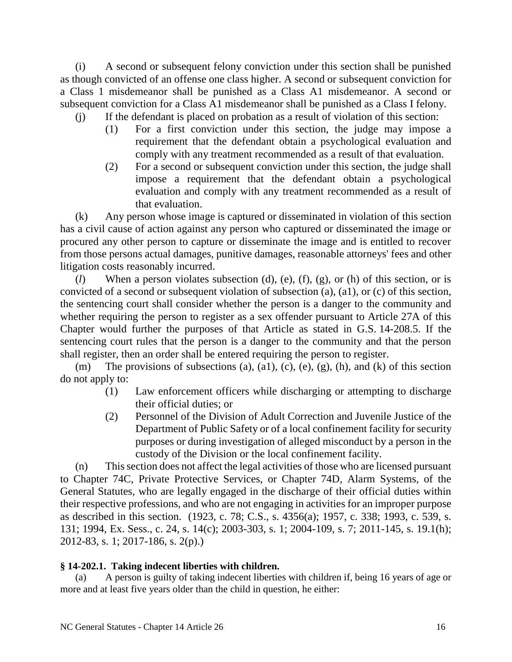(i) A second or subsequent felony conviction under this section shall be punished as though convicted of an offense one class higher. A second or subsequent conviction for a Class 1 misdemeanor shall be punished as a Class A1 misdemeanor. A second or subsequent conviction for a Class A1 misdemeanor shall be punished as a Class I felony.

(j) If the defendant is placed on probation as a result of violation of this section:

- (1) For a first conviction under this section, the judge may impose a requirement that the defendant obtain a psychological evaluation and comply with any treatment recommended as a result of that evaluation.
- (2) For a second or subsequent conviction under this section, the judge shall impose a requirement that the defendant obtain a psychological evaluation and comply with any treatment recommended as a result of that evaluation.

(k) Any person whose image is captured or disseminated in violation of this section has a civil cause of action against any person who captured or disseminated the image or procured any other person to capture or disseminate the image and is entitled to recover from those persons actual damages, punitive damages, reasonable attorneys' fees and other litigation costs reasonably incurred.

(*l*) When a person violates subsection (d), (e), (f), (g), or (h) of this section, or is convicted of a second or subsequent violation of subsection (a), (a1), or (c) of this section, the sentencing court shall consider whether the person is a danger to the community and whether requiring the person to register as a sex offender pursuant to Article 27A of this Chapter would further the purposes of that Article as stated in G.S. 14-208.5. If the sentencing court rules that the person is a danger to the community and that the person shall register, then an order shall be entered requiring the person to register.

 $(m)$  The provisions of subsections (a), (a1), (c), (e), (g), (h), and (k) of this section do not apply to:

- (1) Law enforcement officers while discharging or attempting to discharge their official duties; or
- (2) Personnel of the Division of Adult Correction and Juvenile Justice of the Department of Public Safety or of a local confinement facility for security purposes or during investigation of alleged misconduct by a person in the custody of the Division or the local confinement facility.

(n) This section does not affect the legal activities of those who are licensed pursuant to Chapter 74C, Private Protective Services, or Chapter 74D, Alarm Systems, of the General Statutes, who are legally engaged in the discharge of their official duties within their respective professions, and who are not engaging in activities for an improper purpose as described in this section. (1923, c. 78; C.S., s. 4356(a); 1957, c. 338; 1993, c. 539, s. 131; 1994, Ex. Sess., c. 24, s. 14(c); 2003-303, s. 1; 2004-109, s. 7; 2011-145, s. 19.1(h); 2012-83, s. 1; 2017-186, s. 2(p).)

# **§ 14-202.1. Taking indecent liberties with children.**

(a) A person is guilty of taking indecent liberties with children if, being 16 years of age or more and at least five years older than the child in question, he either: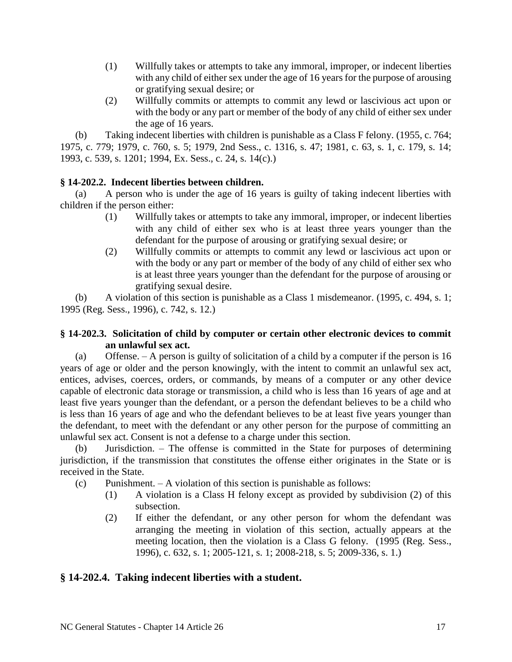- (1) Willfully takes or attempts to take any immoral, improper, or indecent liberties with any child of either sex under the age of 16 years for the purpose of arousing or gratifying sexual desire; or
- (2) Willfully commits or attempts to commit any lewd or lascivious act upon or with the body or any part or member of the body of any child of either sex under the age of 16 years.

(b) Taking indecent liberties with children is punishable as a Class F felony. (1955, c. 764; 1975, c. 779; 1979, c. 760, s. 5; 1979, 2nd Sess., c. 1316, s. 47; 1981, c. 63, s. 1, c. 179, s. 14; 1993, c. 539, s. 1201; 1994, Ex. Sess., c. 24, s. 14(c).)

# **§ 14-202.2. Indecent liberties between children.**

(a) A person who is under the age of 16 years is guilty of taking indecent liberties with children if the person either:

- (1) Willfully takes or attempts to take any immoral, improper, or indecent liberties with any child of either sex who is at least three years younger than the defendant for the purpose of arousing or gratifying sexual desire; or
- (2) Willfully commits or attempts to commit any lewd or lascivious act upon or with the body or any part or member of the body of any child of either sex who is at least three years younger than the defendant for the purpose of arousing or gratifying sexual desire.

(b) A violation of this section is punishable as a Class 1 misdemeanor. (1995, c. 494, s. 1; 1995 (Reg. Sess., 1996), c. 742, s. 12.)

## **§ 14-202.3. Solicitation of child by computer or certain other electronic devices to commit an unlawful sex act.**

(a) Offense. – A person is guilty of solicitation of a child by a computer if the person is 16 years of age or older and the person knowingly, with the intent to commit an unlawful sex act, entices, advises, coerces, orders, or commands, by means of a computer or any other device capable of electronic data storage or transmission, a child who is less than 16 years of age and at least five years younger than the defendant, or a person the defendant believes to be a child who is less than 16 years of age and who the defendant believes to be at least five years younger than the defendant, to meet with the defendant or any other person for the purpose of committing an unlawful sex act. Consent is not a defense to a charge under this section.

(b) Jurisdiction. – The offense is committed in the State for purposes of determining jurisdiction, if the transmission that constitutes the offense either originates in the State or is received in the State.

- $(c)$  Punishment. A violation of this section is punishable as follows:
	- (1) A violation is a Class H felony except as provided by subdivision (2) of this subsection.
	- (2) If either the defendant, or any other person for whom the defendant was arranging the meeting in violation of this section, actually appears at the meeting location, then the violation is a Class G felony. (1995 (Reg. Sess., 1996), c. 632, s. 1; 2005-121, s. 1; 2008-218, s. 5; 2009-336, s. 1.)

# **§ 14-202.4. Taking indecent liberties with a student.**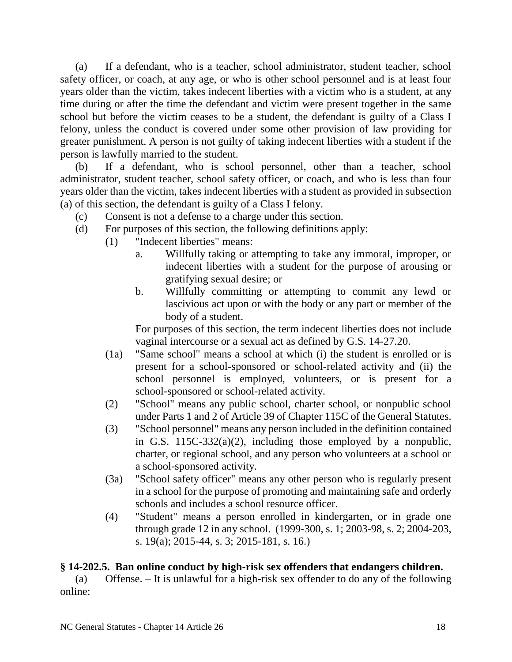(a) If a defendant, who is a teacher, school administrator, student teacher, school safety officer, or coach, at any age, or who is other school personnel and is at least four years older than the victim, takes indecent liberties with a victim who is a student, at any time during or after the time the defendant and victim were present together in the same school but before the victim ceases to be a student, the defendant is guilty of a Class I felony, unless the conduct is covered under some other provision of law providing for greater punishment. A person is not guilty of taking indecent liberties with a student if the person is lawfully married to the student.

(b) If a defendant, who is school personnel, other than a teacher, school administrator, student teacher, school safety officer, or coach, and who is less than four years older than the victim, takes indecent liberties with a student as provided in subsection (a) of this section, the defendant is guilty of a Class I felony.

- (c) Consent is not a defense to a charge under this section.
- (d) For purposes of this section, the following definitions apply:
	- (1) "Indecent liberties" means:
		- a. Willfully taking or attempting to take any immoral, improper, or indecent liberties with a student for the purpose of arousing or gratifying sexual desire; or
		- b. Willfully committing or attempting to commit any lewd or lascivious act upon or with the body or any part or member of the body of a student.

For purposes of this section, the term indecent liberties does not include vaginal intercourse or a sexual act as defined by G.S. 14-27.20.

- (1a) "Same school" means a school at which (i) the student is enrolled or is present for a school-sponsored or school-related activity and (ii) the school personnel is employed, volunteers, or is present for a school-sponsored or school-related activity.
- (2) "School" means any public school, charter school, or nonpublic school under Parts 1 and 2 of Article 39 of Chapter 115C of the General Statutes.
- (3) "School personnel" means any person included in the definition contained in G.S. 115C-332(a)(2), including those employed by a nonpublic, charter, or regional school, and any person who volunteers at a school or a school-sponsored activity.
- (3a) "School safety officer" means any other person who is regularly present in a school for the purpose of promoting and maintaining safe and orderly schools and includes a school resource officer.
- (4) "Student" means a person enrolled in kindergarten, or in grade one through grade 12 in any school. (1999-300, s. 1; 2003-98, s. 2; 2004-203, s. 19(a); 2015-44, s. 3; 2015-181, s. 16.)

# **§ 14-202.5. Ban online conduct by high-risk sex offenders that endangers children.**

(a) Offense. – It is unlawful for a high-risk sex offender to do any of the following online: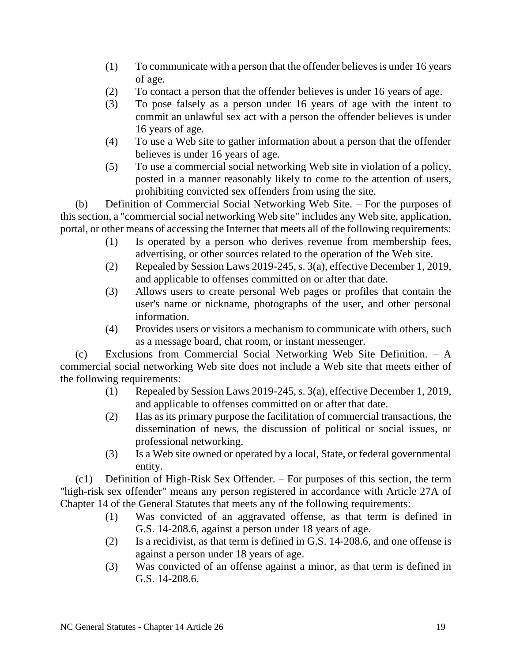- (1) To communicate with a person that the offender believes is under 16 years of age.
- (2) To contact a person that the offender believes is under 16 years of age.
- (3) To pose falsely as a person under 16 years of age with the intent to commit an unlawful sex act with a person the offender believes is under 16 years of age.
- (4) To use a Web site to gather information about a person that the offender believes is under 16 years of age.
- (5) To use a commercial social networking Web site in violation of a policy, posted in a manner reasonably likely to come to the attention of users, prohibiting convicted sex offenders from using the site.

(b) Definition of Commercial Social Networking Web Site. – For the purposes of this section, a "commercial social networking Web site" includes any Web site, application, portal, or other means of accessing the Internet that meets all of the following requirements:

- (1) Is operated by a person who derives revenue from membership fees, advertising, or other sources related to the operation of the Web site.
- (2) Repealed by Session Laws 2019-245, s. 3(a), effective December 1, 2019, and applicable to offenses committed on or after that date.
- (3) Allows users to create personal Web pages or profiles that contain the user's name or nickname, photographs of the user, and other personal information.
- (4) Provides users or visitors a mechanism to communicate with others, such as a message board, chat room, or instant messenger.

(c) Exclusions from Commercial Social Networking Web Site Definition. – A commercial social networking Web site does not include a Web site that meets either of the following requirements:

- (1) Repealed by Session Laws 2019-245, s. 3(a), effective December 1, 2019, and applicable to offenses committed on or after that date.
- (2) Has as its primary purpose the facilitation of commercial transactions, the dissemination of news, the discussion of political or social issues, or professional networking.
- (3) Is a Web site owned or operated by a local, State, or federal governmental entity.

(c1) Definition of High-Risk Sex Offender. – For purposes of this section, the term "high-risk sex offender" means any person registered in accordance with Article 27A of Chapter 14 of the General Statutes that meets any of the following requirements:

- (1) Was convicted of an aggravated offense, as that term is defined in G.S. 14-208.6, against a person under 18 years of age.
- (2) Is a recidivist, as that term is defined in G.S. 14-208.6, and one offense is against a person under 18 years of age.
- (3) Was convicted of an offense against a minor, as that term is defined in G.S. 14-208.6.